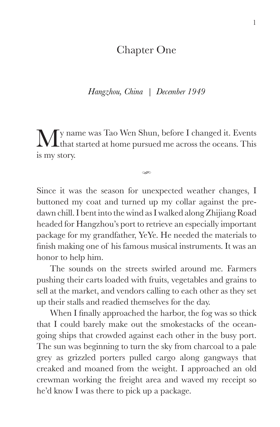## Chapter One

*Hangzhou, China | December 1949*

My name was Tao Wen Shun, before I changed it. Events that started at home pursued me across the oceans. This is my story.

cm.

Since it was the season for unexpected weather changes, I buttoned my coat and turned up my collar against the predawn chill. I bent into the wind as I walked along Zhijiang Road headed for Hangzhou's port to retrieve an especially important package for my grandfather, YeYe. He needed the materials to finish making one of his famous musical instruments. It was an honor to help him.

The sounds on the streets swirled around me. Farmers pushing their carts loaded with fruits, vegetables and grains to sell at the market, and vendors calling to each other as they set up their stalls and readied themselves for the day.

When I finally approached the harbor, the fog was so thick that I could barely make out the smokestacks of the oceangoing ships that crowded against each other in the busy port. The sun was beginning to turn the sky from charcoal to a pale grey as grizzled porters pulled cargo along gangways that creaked and moaned from the weight. I approached an old crewman working the freight area and waved my receipt so he'd know I was there to pick up a package.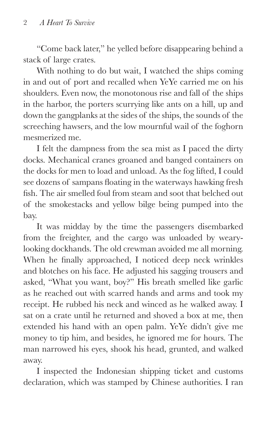"Come back later," he yelled before disappearing behind a stack of large crates.

With nothing to do but wait, I watched the ships coming in and out of port and recalled when YeYe carried me on his shoulders. Even now, the monotonous rise and fall of the ships in the harbor, the porters scurrying like ants on a hill, up and down the gangplanks at the sides of the ships, the sounds of the screeching hawsers, and the low mournful wail of the foghorn mesmerized me.

I felt the dampness from the sea mist as I paced the dirty docks. Mechanical cranes groaned and banged containers on the docks for men to load and unload. As the fog lifted, I could see dozens of sampans floating in the waterways hawking fresh fish. The air smelled foul from steam and soot that belched out of the smokestacks and yellow bilge being pumped into the bay.

It was midday by the time the passengers disembarked from the freighter, and the cargo was unloaded by wearylooking dockhands. The old crewman avoided me all morning. When he finally approached, I noticed deep neck wrinkles and blotches on his face. He adjusted his sagging trousers and asked, "What you want, boy?" His breath smelled like garlic as he reached out with scarred hands and arms and took my receipt. He rubbed his neck and winced as he walked away. I sat on a crate until he returned and shoved a box at me, then extended his hand with an open palm. YeYe didn't give me money to tip him, and besides, he ignored me for hours. The man narrowed his eyes, shook his head, grunted, and walked away.

I inspected the Indonesian shipping ticket and customs declaration, which was stamped by Chinese authorities. I ran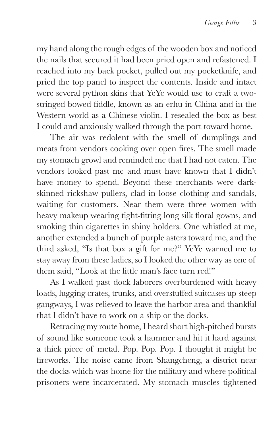my hand along the rough edges of the wooden box and noticed the nails that secured it had been pried open and refastened. I reached into my back pocket, pulled out my pocketknife, and pried the top panel to inspect the contents. Inside and intact were several python skins that YeYe would use to craft a twostringed bowed fiddle, known as an erhu in China and in the Western world as a Chinese violin. I resealed the box as best I could and anxiously walked through the port toward home.

The air was redolent with the smell of dumplings and meats from vendors cooking over open fires. The smell made my stomach growl and reminded me that I had not eaten. The vendors looked past me and must have known that I didn't have money to spend. Beyond these merchants were darkskinned rickshaw pullers, clad in loose clothing and sandals, waiting for customers. Near them were three women with heavy makeup wearing tight-fitting long silk floral gowns, and smoking thin cigarettes in shiny holders. One whistled at me, another extended a bunch of purple asters toward me, and the third asked, "Is that box a gift for me?" YeYe warned me to stay away from these ladies, so I looked the other way as one of them said, "Look at the little man's face turn red!"

As I walked past dock laborers overburdened with heavy loads, lugging crates, trunks, and overstuffed suitcases up steep gangways, I was relieved to leave the harbor area and thankful that I didn't have to work on a ship or the docks.

Retracing my route home, I heard short high-pitched bursts of sound like someone took a hammer and hit it hard against a thick piece of metal. Pop. Pop. Pop. I thought it might be fireworks. The noise came from Shangcheng, a district near the docks which was home for the military and where political prisoners were incarcerated. My stomach muscles tightened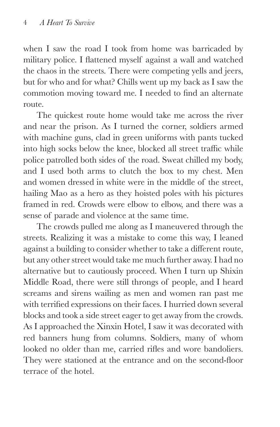when I saw the road I took from home was barricaded by military police. I flattened myself against a wall and watched the chaos in the streets. There were competing yells and jeers, but for who and for what? Chills went up my back as I saw the commotion moving toward me. I needed to find an alternate route.

The quickest route home would take me across the river and near the prison. As I turned the corner, soldiers armed with machine guns, clad in green uniforms with pants tucked into high socks below the knee, blocked all street traffic while police patrolled both sides of the road. Sweat chilled my body, and I used both arms to clutch the box to my chest. Men and women dressed in white were in the middle of the street, hailing Mao as a hero as they hoisted poles with his pictures framed in red. Crowds were elbow to elbow, and there was a sense of parade and violence at the same time.

The crowds pulled me along as I maneuvered through the streets. Realizing it was a mistake to come this way, I leaned against a building to consider whether to take a different route, but any other street would take me much further away. I had no alternative but to cautiously proceed. When I turn up Shixin Middle Road, there were still throngs of people, and I heard screams and sirens wailing as men and women ran past me with terrified expressions on their faces. I hurried down several blocks and took a side street eager to get away from the crowds. As I approached the Xinxin Hotel, I saw it was decorated with red banners hung from columns. Soldiers, many of whom looked no older than me, carried rifles and wore bandoliers. They were stationed at the entrance and on the second-floor terrace of the hotel.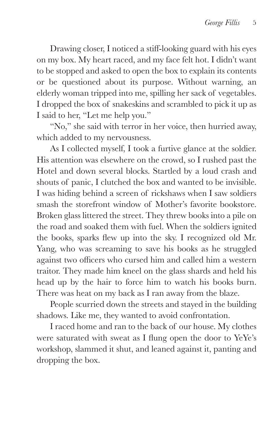Drawing closer, I noticed a stiff-looking guard with his eyes on my box. My heart raced, and my face felt hot. I didn't want to be stopped and asked to open the box to explain its contents or be questioned about its purpose. Without warning, an elderly woman tripped into me, spilling her sack of vegetables. I dropped the box of snakeskins and scrambled to pick it up as I said to her, "Let me help you."

"No," she said with terror in her voice, then hurried away, which added to my nervousness.

As I collected myself, I took a furtive glance at the soldier. His attention was elsewhere on the crowd, so I rushed past the Hotel and down several blocks. Startled by a loud crash and shouts of panic, I clutched the box and wanted to be invisible. I was hiding behind a screen of rickshaws when I saw soldiers smash the storefront window of Mother's favorite bookstore. Broken glass littered the street. They threw books into a pile on the road and soaked them with fuel. When the soldiers ignited the books, sparks flew up into the sky. I recognized old Mr. Yang, who was screaming to save his books as he struggled against two officers who cursed him and called him a western traitor. They made him kneel on the glass shards and held his head up by the hair to force him to watch his books burn. There was heat on my back as I ran away from the blaze.

People scurried down the streets and stayed in the building shadows. Like me, they wanted to avoid confrontation.

I raced home and ran to the back of our house. My clothes were saturated with sweat as I flung open the door to  $YeYe's$ workshop, slammed it shut, and leaned against it, panting and dropping the box.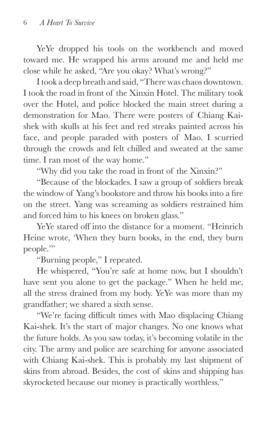YeYe dropped his tools on the workbench and moved toward me. He wrapped his arms around me and held me close while he asked, "Are you okay? What's wrong?"

I took a deep breath and said, "There was chaos downtown. I took the road in front of the Xinxin Hotel. The military took over the Hotel, and police blocked the main street during a demonstration for Mao. There were posters of Chiang Kaishek with skulls at his feet and red streaks painted across his face, and people paraded with posters of Mao. I scurried through the crowds and felt chilled and sweated at the same time. I ran most of the way home."

"Why did you take the road in front of the Xinxin?"

"Because of the blockades. I saw a group of soldiers break the window of Yang's bookstore and throw his books into a fire on the street. Yang was screaming as soldiers restrained him and forced him to his knees on broken glass."

YeYe stared off into the distance for a moment. "Heinrich Heine wrote, 'When they burn books, in the end, they burn people."

"Burning people," I repeated.

He whispered, "You're safe at home now, but I shouldn't have sent you alone to get the package." When he held me, all the stress drained from my body. YeYe was more than my grandfather; we shared a sixth sense.

"We're facing difficult times with Mao displacing Chiang Kai-shek. It's the start of major changes. No one knows what the future holds. As you saw today, it's becoming volatile in the city. The army and police are searching for anyone associated with Chiang Kai-shek. This is probably my last shipment of skins from abroad. Besides, the cost of skins and shipping has skyrocketed because our money is practically worthless."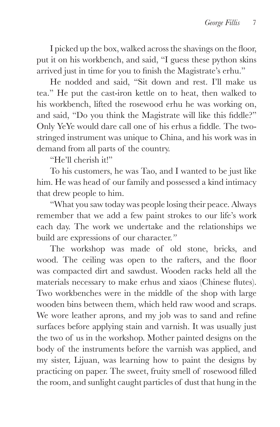I picked up the box, walked across the shavings on the floor, put it on his workbench, and said, "I guess these python skins arrived just in time for you to finish the Magistrate's erhu."

He nodded and said, "Sit down and rest. I'll make us tea." He put the cast-iron kettle on to heat, then walked to his workbench, lifted the rosewood erhu he was working on, and said, "Do you think the Magistrate will like this fiddle?" Only YeYe would dare call one of his erhus a fiddle. The twostringed instrument was unique to China, and his work was in demand from all parts of the country.

"He'll cherish it!"

To his customers, he was Tao, and I wanted to be just like him. He was head of our family and possessed a kind intimacy that drew people to him.

"What you saw today was people losing their peace. Always remember that we add a few paint strokes to our life's work each day. The work we undertake and the relationships we build are expressions of our character.*"*

The workshop was made of old stone, bricks, and wood. The ceiling was open to the rafters, and the floor was compacted dirt and sawdust. Wooden racks held all the materials necessary to make erhus and xiaos (Chinese flutes). Two workbenches were in the middle of the shop with large wooden bins between them, which held raw wood and scraps. We wore leather aprons, and my job was to sand and refine surfaces before applying stain and varnish. It was usually just the two of us in the workshop. Mother painted designs on the body of the instruments before the varnish was applied, and my sister, Lijuan, was learning how to paint the designs by practicing on paper. The sweet, fruity smell of rosewood filled the room, and sunlight caught particles of dust that hung in the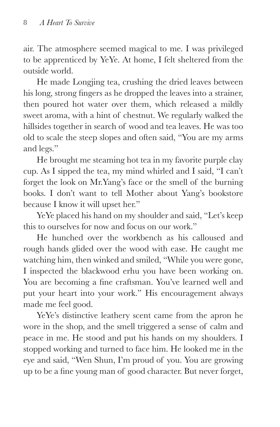air. The atmosphere seemed magical to me. I was privileged to be apprenticed by YeYe. At home, I felt sheltered from the outside world.

He made Longjing tea, crushing the dried leaves between his long, strong fingers as he dropped the leaves into a strainer, then poured hot water over them, which released a mildly sweet aroma, with a hint of chestnut. We regularly walked the hillsides together in search of wood and tea leaves. He was too old to scale the steep slopes and often said, "You are my arms and legs."

He brought me steaming hot tea in my favorite purple clay cup. As I sipped the tea, my mind whirled and I said, "I can't forget the look on Mr.Yang's face or the smell of the burning books. I don't want to tell Mother about Yang's bookstore because I know it will upset her."

YeYe placed his hand on my shoulder and said, "Let's keep this to ourselves for now and focus on our work."

He hunched over the workbench as his calloused and rough hands glided over the wood with ease. He caught me watching him, then winked and smiled, "While you were gone, I inspected the blackwood erhu you have been working on. You are becoming a fine craftsman. You've learned well and put your heart into your work." His encouragement always made me feel good.

YeYe's distinctive leathery scent came from the apron he wore in the shop, and the smell triggered a sense of calm and peace in me. He stood and put his hands on my shoulders. I stopped working and turned to face him. He looked me in the eye and said, "Wen Shun, I'm proud of you. You are growing up to be a fine young man of good character. But never forget,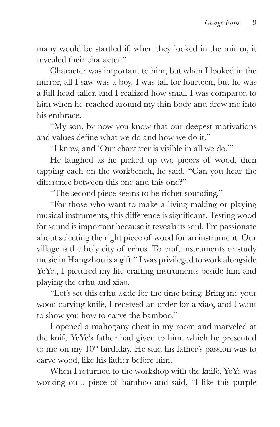many would be startled if, when they looked in the mirror, it revealed their character."

Character was important to him, but when I looked in the mirror, all I saw was a boy. I was tall for fourteen, but he was a full head taller, and I realized how small I was compared to him when he reached around my thin body and drew me into his embrace.

"My son, by now you know that our deepest motivations and values define what we do and how we do it."

"I know, and 'Our character is visible in all we do.'"

He laughed as he picked up two pieces of wood, then tapping each on the workbench, he said, "Can you hear the difference between this one and this one?"

"The second piece seems to be richer sounding."

"For those who want to make a living making or playing musical instruments, this difference is significant. Testing wood for sound is important because it reveals its soul. I'm passionate about selecting the right piece of wood for an instrument. Our village is the holy city of erhus. To craft instruments or study music in Hangzhou is a gift." I was privileged to work alongside YeYe., I pictured my life crafting instruments beside him and playing the erhu and xiao.

"Let's set this erhu aside for the time being. Bring me your wood carving knife, I received an order for a xiao, and I want to show you how to carve the bamboo."

I opened a mahogany chest in my room and marveled at the knife YeYe's father had given to him, which he presented to me on my  $10<sup>th</sup>$  birthday. He said his father's passion was to carve wood, like his father before him.

When I returned to the workshop with the knife, YeYe was working on a piece of bamboo and said, "I like this purple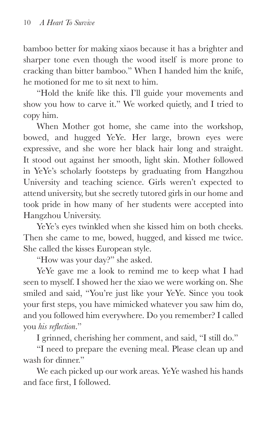bamboo better for making xiaos because it has a brighter and sharper tone even though the wood itself is more prone to cracking than bitter bamboo." When I handed him the knife, he motioned for me to sit next to him.

"Hold the knife like this. I'll guide your movements and show you how to carve it." We worked quietly, and I tried to copy him.

When Mother got home, she came into the workshop, bowed, and hugged YeYe. Her large, brown eyes were expressive, and she wore her black hair long and straight. It stood out against her smooth, light skin. Mother followed in YeYe's scholarly footsteps by graduating from Hangzhou University and teaching science. Girls weren't expected to attend university, but she secretly tutored girls in our home and took pride in how many of her students were accepted into Hangzhou University.

YeYe's eyes twinkled when she kissed him on both cheeks. Then she came to me, bowed, hugged, and kissed me twice. She called the kisses European style.

"How was your day?" she asked.

YeYe gave me a look to remind me to keep what I had seen to myself. I showed her the xiao we were working on. She smiled and said, "You're just like your YeYe. Since you took your first steps, you have mimicked whatever you saw him do, and you followed him everywhere. Do you remember? I called vou *his reflection*."

I grinned, cherishing her comment, and said, "I still do."

"I need to prepare the evening meal. Please clean up and wash for dinner"

We each picked up our work areas. YeYe washed his hands and face first, I followed.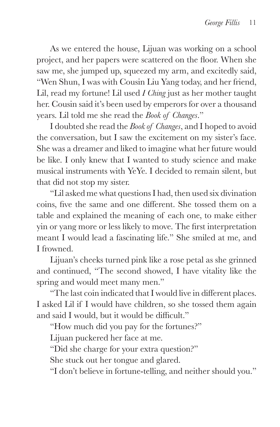As we entered the house, Lijuan was working on a school project, and her papers were scattered on the floor. When she saw me, she jumped up, squeezed my arm, and excitedly said, "Wen Shun, I was with Cousin Liu Yang today, and her friend, Lil, read my fortune! Lil used *I Ching* just as her mother taught her. Cousin said it's been used by emperors for over a thousand years. Lil told me she read the *Book of Changes*."

I doubted she read the *Book of Changes*, and I hoped to avoid the conversation, but I saw the excitement on my sister's face. She was a dreamer and liked to imagine what her future would be like. I only knew that I wanted to study science and make musical instruments with YeYe. I decided to remain silent, but that did not stop my sister.

"Lil asked me what questions I had, then used six divination coins. five the same and one different. She tossed them on a table and explained the meaning of each one, to make either yin or yang more or less likely to move. The first interpretation meant I would lead a fascinating life." She smiled at me, and I frowned.

Lijuan's cheeks turned pink like a rose petal as she grinned and continued, "The second showed, I have vitality like the spring and would meet many men."

"The last coin indicated that I would live in different places. I asked Lil if I would have children, so she tossed them again and said I would, but it would be difficult."

"How much did you pay for the fortunes?"

Lijuan puckered her face at me.

"Did she charge for your extra question?"

She stuck out her tongue and glared.

"I don't believe in fortune-telling, and neither should you."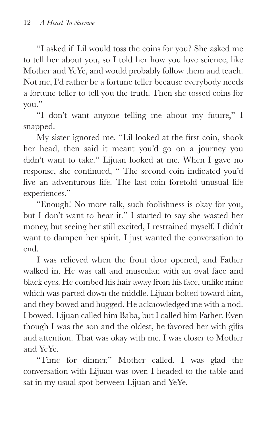"I asked if Lil would toss the coins for you? She asked me to tell her about you, so I told her how you love science, like Mother and YeYe, and would probably follow them and teach. Not me, I'd rather be a fortune teller because everybody needs a fortune teller to tell you the truth. Then she tossed coins for you."

"I don't want anyone telling me about my future," I snapped.

My sister ignored me. "Lil looked at the first coin, shook her head, then said it meant you'd go on a journey you didn't want to take." Lijuan looked at me. When I gave no response, she continued, " The second coin indicated you'd live an adventurous life. The last coin foretold unusual life experiences."

"Enough! No more talk, such foolishness is okay for you, but I don't want to hear it." I started to say she wasted her money, but seeing her still excited, I restrained myself. I didn't want to dampen her spirit. I just wanted the conversation to end.

I was relieved when the front door opened, and Father walked in. He was tall and muscular, with an oval face and black eyes. He combed his hair away from his face, unlike mine which was parted down the middle. Lijuan bolted toward him, and they bowed and hugged. He acknowledged me with a nod. I bowed. Lijuan called him Baba, but I called him Father. Even though I was the son and the oldest, he favored her with gifts and attention. That was okay with me. I was closer to Mother and YeYe.

"Time for dinner," Mother called. I was glad the conversation with Lijuan was over. I headed to the table and sat in my usual spot between Lijuan and YeYe.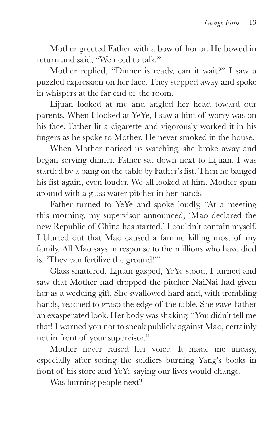Mother greeted Father with a bow of honor. He bowed in return and said, "We need to talk."

Mother replied, "Dinner is ready, can it wait?" I saw a puzzled expression on her face. They stepped away and spoke in whispers at the far end of the room.

Lijuan looked at me and angled her head toward our parents. When I looked at YeYe, I saw a hint of worry was on his face. Father lit a cigarette and vigorously worked it in his fingers as he spoke to Mother. He never smoked in the house.

When Mother noticed us watching, she broke away and began serving dinner. Father sat down next to Lijuan. I was startled by a bang on the table by Father's fist. Then he banged his fist again, even louder. We all looked at him. Mother spun around with a glass water pitcher in her hands.

Father turned to YeYe and spoke loudly, "At a meeting this morning, my supervisor announced, 'Mao declared the new Republic of China has started.' I couldn't contain myself. I blurted out that Mao caused a famine killing most of my family. All Mao says in response to the millions who have died is, 'They can fertilize the ground!'"

Glass shattered. Lijuan gasped, YeYe stood, I turned and saw that Mother had dropped the pitcher NaiNai had given her as a wedding gift. She swallowed hard and, with trembling hands, reached to grasp the edge of the table. She gave Father an exasperated look. Her body was shaking. "You didn't tell me that! I warned you not to speak publicly against Mao, certainly not in front of your supervisor."

Mother never raised her voice. It made me uneasy, especially after seeing the soldiers burning Yang's books in front of his store and YeYe saying our lives would change.

Was burning people next?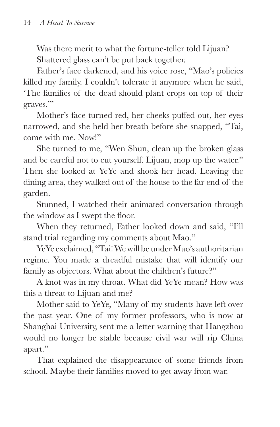Was there merit to what the fortune-teller told Lijuan? Shattered glass can't be put back together.

Father's face darkened, and his voice rose, "Mao's policies killed my family. I couldn't tolerate it anymore when he said, 'The families of the dead should plant crops on top of their graves."

Mother's face turned red, her cheeks puffed out, her eyes narrowed, and she held her breath before she snapped, "Tai, come with me. Now!"

She turned to me, "Wen Shun, clean up the broken glass and be careful not to cut yourself. Lijuan, mop up the water." Then she looked at YeYe and shook her head. Leaving the dining area, they walked out of the house to the far end of the garden.

Stunned, I watched their animated conversation through the window as I swept the floor.

When they returned, Father looked down and said, "I'll stand trial regarding my comments about Mao."

YeYe exclaimed, "Tai! We will be under Mao's authoritarian regime. You made a dreadful mistake that will identify our family as objectors. What about the children's future?"

A knot was in my throat. What did YeYe mean? How was this a threat to Lijuan and me?

Mother said to YeYe, "Many of my students have left over the past year. One of my former professors, who is now at Shanghai University, sent me a letter warning that Hangzhou would no longer be stable because civil war will rip China apart."

That explained the disappearance of some friends from school. Maybe their families moved to get away from war.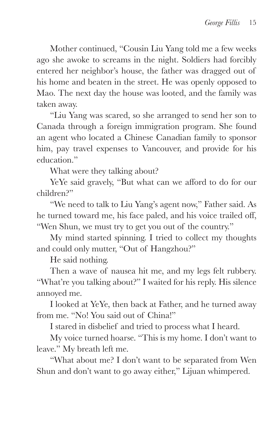Mother continued, "Cousin Liu Yang told me a few weeks ago she awoke to screams in the night. Soldiers had forcibly entered her neighbor's house, the father was dragged out of his home and beaten in the street. He was openly opposed to Mao. The next day the house was looted, and the family was taken away.

"Liu Yang was scared, so she arranged to send her son to Canada through a foreign immigration program. She found an agent who located a Chinese Canadian family to sponsor him, pay travel expenses to Vancouver, and provide for his education."

What were they talking about?

YeYe said gravely, "But what can we afford to do for our children?"

"We need to talk to Liu Yang's agent now," Father said. As he turned toward me, his face paled, and his voice trailed off, "Wen Shun, we must try to get you out of the country."

My mind started spinning. I tried to collect my thoughts and could only mutter, "Out of Hangzhou?"

He said nothing.

Then a wave of nausea hit me, and my legs felt rubbery. "What're you talking about?" I waited for his reply. His silence annoyed me.

I looked at YeYe, then back at Father, and he turned away from me. "No! You said out of China!"

I stared in disbelief and tried to process what I heard.

My voice turned hoarse. "This is my home. I don't want to leave." My breath left me.

"What about me? I don't want to be separated from Wen Shun and don't want to go away either," Lijuan whimpered.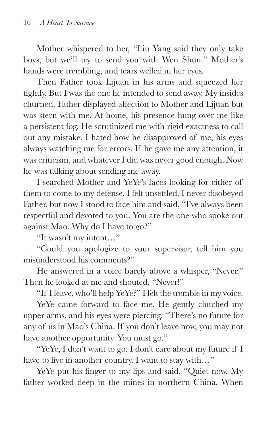Mother whispered to her, "Liu Yang said they only take boys, but we'll try to send you with Wen Shun." Mother's hands were trembling, and tears welled in her eyes.

Then Father took Lijuan in his arms and squeezed her tightly. But I was the one he intended to send away. My insides churned. Father displayed affection to Mother and Lijuan but was stern with me. At home, his presence hung over me like a persistent fog. He scrutinized me with rigid exactness to call out any mistake. I hated how he disapproved of me, his eyes always watching me for errors. If he gave me any attention, it was criticism, and whatever I did was never good enough. Now he was talking about sending me away.

I searched Mother and YeYe's faces looking for either of them to come to my defense. I felt unsettled. I never disobeyed Father, but now I stood to face him and said, "I've always been respectful and devoted to you. You are the one who spoke out against Mao. Why do I have to go?"

"It wasn't my intent…"

"Could you apologize to your supervisor, tell him you misunderstood his comments?"

He answered in a voice barely above a whisper, "Never." Then he looked at me and shouted, "Never!"

"If I leave, who'll help YeYe?" I felt the tremble in my voice.

YeYe came forward to face me. He gently clutched my upper arms, and his eyes were piercing. "There's no future for any of us in Mao's China. If you don't leave now, you may not have another opportunity. You must go."

"YeYe, I don't want to go. I don't care about my future if I have to live in another country. I want to stay with..."

YeYe put his finger to my lips and said, "Quiet now. My father worked deep in the mines in northern China. When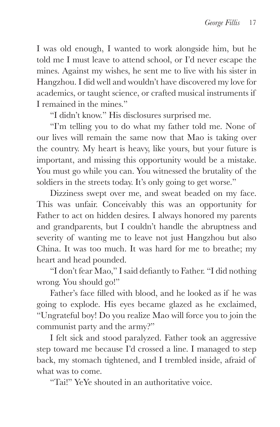I was old enough, I wanted to work alongside him, but he told me I must leave to attend school, or I'd never escape the mines. Against my wishes, he sent me to live with his sister in Hangzhou. I did well and wouldn't have discovered my love for academics, or taught science, or crafted musical instruments if I remained in the mines."

"I didn't know." His disclosures surprised me.

"I'm telling you to do what my father told me. None of our lives will remain the same now that Mao is taking over the country. My heart is heavy, like yours, but your future is important, and missing this opportunity would be a mistake. You must go while you can. You witnessed the brutality of the soldiers in the streets today. It's only going to get worse."

Dizziness swept over me, and sweat beaded on my face. This was unfair. Conceivably this was an opportunity for Father to act on hidden desires. I always honored my parents and grandparents, but I couldn't handle the abruptness and severity of wanting me to leave not just Hangzhou but also China. It was too much. It was hard for me to breathe; my heart and head pounded.

"I don't fear Mao," I said defiantly to Father. "I did nothing wrong. You should go!"

Father's face filled with blood, and he looked as if he was going to explode. His eyes became glazed as he exclaimed, "Ungrateful boy! Do you realize Mao will force you to join the communist party and the army?"

I felt sick and stood paralyzed. Father took an aggressive step toward me because I'd crossed a line. I managed to step back, my stomach tightened, and I trembled inside, afraid of what was to come.

"Tai!" YeYe shouted in an authoritative voice.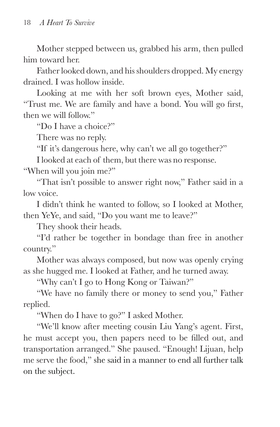Mother stepped between us, grabbed his arm, then pulled him toward her.

Father looked down, and his shoulders dropped. My energy drained. I was hollow inside.

Looking at me with her soft brown eyes, Mother said, "Trust me. We are family and have a bond. You will go first, then we will follow"

"Do I have a choice?"

There was no reply.

"If it's dangerous here, why can't we all go together?"

I looked at each of them, but there was no response.

"When will you join me?"

"That isn't possible to answer right now," Father said in a low voice.

I didn't think he wanted to follow, so I looked at Mother, then YeYe, and said, "Do you want me to leave?"

They shook their heads.

"I'd rather be together in bondage than free in another country."

Mother was always composed, but now was openly crying as she hugged me. I looked at Father, and he turned away.

"Why can't I go to Hong Kong or Taiwan?"

"We have no family there or money to send you," Father replied.

"When do I have to go?" I asked Mother.

"We'll know after meeting cousin Liu Yang's agent. First, he must accept you, then papers need to be filled out, and transportation arranged." She paused. "Enough! Lijuan, help me serve the food," she said in a manner to end all further talk on the subject.